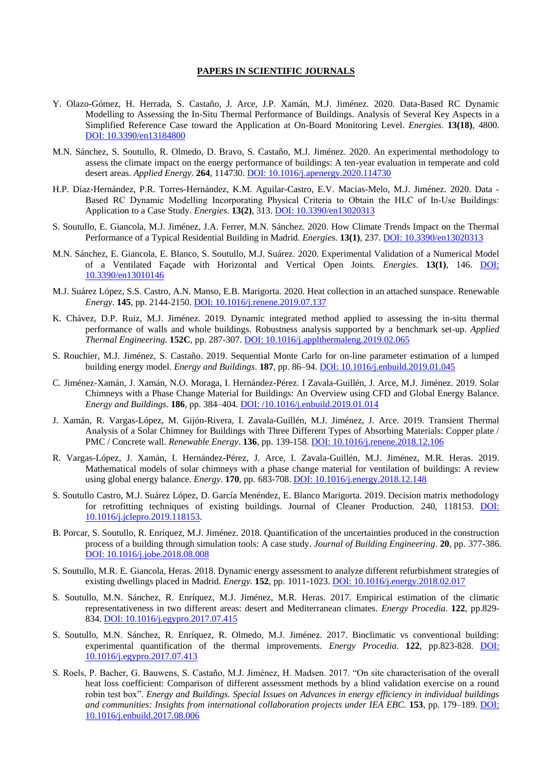## **PAPERS IN SCIENTIFIC JOURNALS**

- Y. Olazo-Gómez, H. Herrada, S. Castaño, J. Arce, J.P. Xamán, M.J. Jiménez. 2020. Data-Based RC Dynamic Modelling to Assessing the In-Situ Thermal Performance of Buildings. Analysis of Several Key Aspects in a Simplified Reference Case toward the Application at On-Board Monitoring Level. *Energies*. **13(18)**, 4800. [DOI: 10.3390/en13184800](https://doi.org/10.3390/en13184800)
- M.N. Sánchez, S. Soutullo, R. Olmedo, D. Bravo, S. Castaño, M.J. Jiménez. 2020. An experimental methodology to assess the climate impact on the energy performance of buildings: A ten-year evaluation in temperate and cold desert areas. *Applied Energy*. **264**, 114730[. DOI: 10.1016/j.apenergy.2020.114730](https://doi.org/10.1016/j.apenergy.2020.114730)
- H.P. Díaz-Hernández, P.R. Torres-Hernández, K.M. Aguilar-Castro, E.V. Macias-Melo, M.J. Jiménez. 2020. Data Based RC Dynamic Modelling Incorporating Physical Criteria to Obtain the HLC of In‐Use Buildings: Application to a Case Study. *Energies*. **13(2)**, 313. DOI: [10.3390/en13020313](https://doi.org/10.3390/en13020313)
- S. Soutullo, E. Giancola, M.J. Jiménez, J.A. Ferrer, M.N. Sánchez. 2020. How Climate Trends Impact on the Thermal Performance of a Typical Residential Building in Madrid. *Energies*. **13(1)**, 237. DOI: [10.3390/en13020313](https://doi.org/10.3390/en13020313)
- M.N. Sánchez, E. Giancola, E. Blanco, S. Soutullo, M.J. Suárez. 2020. Experimental Validation of a Numerical Model of a Ventilated Façade with Horizontal and Vertical Open Joints. *Energies*. **13(1)**, 146. [DOI:](https://doi.org/10.3390/en13010146) [10.3390/en13010146](https://doi.org/10.3390/en13010146)
- M.J. Suárez López, S.S. Castro, A.N. Manso, E.B. Marigorta. 2020. Heat collection in an attached sunspace. Renewable *Energy*. **145**, pp. 2144-2150. [DOI: 10.1016/j.renene.2019.07.137](https://doi.org/10.1016/j.renene.2019.07.137)
- K. Chávez, D.P. Ruiz, M.J. Jiménez. 2019. Dynamic integrated method applied to assessing the in-situ thermal performance of walls and whole buildings. Robustness analysis supported by a benchmark set-up. *Applied Thermal Engineering*. **152C**, pp. 287-307[. DOI: 10.1016/j.applthermaleng.2019.02.065](https://doi.org/10.1016/j.applthermaleng.2019.02.065)
- S. Rouchier, M.J. Jiménez, S. Castaño. 2019. Sequential Monte Carlo for on-line parameter estimation of a lumped building energy model. *Energy and Buildings*. **187**, pp. 86–94. [DOI: 10.1016/j.enbuild.2019.01.045](https://doi.org/10.1016/j.enbuild.2019.01.045)
- C. Jiménez-Xamán, J. Xamán, N.O. Moraga, I. Hernández-Pérez. I Zavala-Guillén, J. Arce, M.J. Jiménez. 2019. Solar Chimneys with a Phase Change Material for Buildings: An Overview using CFD and Global Energy Balance. *Energy and Buildings*. **186**, pp. 384–404[. DOI: /10.1016/j.enbuild.2019.01.014](https://doi.org/10.1016/j.enbuild.2019.01.014)
- J. Xamán, R. Vargas-López, M. Gijón-Rivera, I. Zavala-Guillén, M.J. Jiménez, J. Arce. 2019. Transient Thermal Analysis of a Solar Chimney for Buildings with Three Different Types of Absorbing Materials: Copper plate / PMC / Concrete wall. *Renewable Energy*. **136**, pp. 139-158. [DOI: 10.1016/j.renene.2018.12.106](https://doi.org/10.1016/j.renene.2018.12.106)
- R. Vargas-López, J. Xamán, I. Hernández-Pérez, J. Arce, I. Zavala-Guillén, M.J. Jiménez, M.R. Heras. 2019. Mathematical models of solar chimneys with a phase change material for ventilation of buildings: A review using global energy balance. *Energy*. **170**, pp. 683-708. [DOI: 10.1016/j.energy.2018.12.148](https://doi.org/10.1016/j.energy.2018.12.148)
- S. Soutullo Castro, M.J. Suárez López, D. García Menéndez, E. Blanco Marigorta. 2019. Decision matrix methodology for retrofitting techniques of existing buildings. Journal of Cleaner Production. 240, 118153. [DOI:](https://doi.org/10.1016/j.jclepro.2019.118153)  [10.1016/j.jclepro.2019.118153.](https://doi.org/10.1016/j.jclepro.2019.118153)
- B. Porcar, S. Soutullo, R. Enríquez, M.J. Jiménez. 2018. Quantification of the uncertainties produced in the construction process of a building through simulation tools: A case study. *Journal of Building Engineering*. **20**, pp. 377-386. [DOI: 10.1016/j.jobe.2018.08.008](https://doi.org/10.1016/j.jobe.2018.08.008)
- S. Soutullo, M.R. E. Giancola, Heras. 2018. Dynamic energy assessment to analyze different refurbishment strategies of existing dwellings placed in Madrid. *Energy*. **152**, pp. 1011-1023. [DOI: 10.1016/j.energy.2018.02.017](https://doi.org/10.1016/j.energy.2018.02.017)
- S. Soutullo, M.N. Sánchez, R. Enríquez, M.J. Jiménez, M.R. Heras. 2017. Empirical estimation of the climatic representativeness in two different areas: desert and Mediterranean climates. *Energy Procedia*. **122**, pp.829- 834. [DOI: 10.1016/j.egypro.2017.07.415](https://doi.org/10.1016/j.egypro.2017.07.415)
- S. Soutullo, M.N. Sánchez, R. Enríquez, R. Olmedo, M.J. Jiménez. 2017. Bioclimatic vs conventional building: experimental quantification of the thermal improvements. *Energy Procedia*. **122**, pp.823-828. [DOI:](https://doi.org/10.1016/j.egypro.2017.07.413)  [10.1016/j.egypro.2017.07.413](https://doi.org/10.1016/j.egypro.2017.07.413)
- S. Roels, P. Bacher, G. Bauwens, S. Castaño, M.J. Jiménez, H. Madsen. 2017. "On site characterisation of the overall heat loss coefficient: Comparison of different assessment methods by a blind validation exercise on a round robin test box". *Energy and Buildings. Special Issues on Advances in energy efficiency in individual buildings and communities: Insights from international collaboration projects under IEA EBC.* **153**, pp. 179–189. [DOI:](https://doi.org/10.1016/j.enbuild.2017.08.006)  [10.1016/j.enbuild.2017.08.006](https://doi.org/10.1016/j.enbuild.2017.08.006)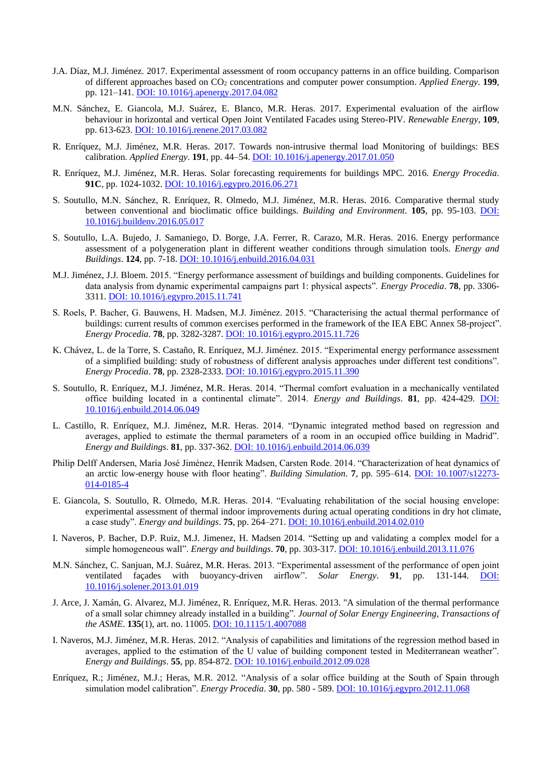- J.A. Díaz, M.J. Jiménez. 2017. Experimental assessment of room occupancy patterns in an office building. Comparison of different approaches based on CO<sup>2</sup> concentrations and computer power consumption. *Applied Energy*. **199**, pp. 121–141. [DOI: 10.1016/j.apenergy.2017.04.082](http://dx.doi.org/10.1016/j.apenergy.2017.04.082)
- M.N. Sánchez, E. Giancola, M.J. Suárez, E. Blanco, M.R. Heras. 2017. Experimental evaluation of the airflow behaviour in horizontal and vertical Open Joint Ventilated Facades using Stereo-PIV. *Renewable Energy*, **109**, pp. 613-623[. DOI: 10.1016/j.renene.2017.03.082](https://doi.org/10.1016/j.renene.2017.03.082)
- R. Enríquez, M.J. Jiménez, M.R. Heras. 2017. Towards non-intrusive thermal load Monitoring of buildings: BES calibration. *Applied Energy*. **191**, pp. 44–54. [DOI: 10.1016/j.apenergy.2017.01.050](http://dx.doi.org/10.1016/j.apenergy.2017.01.050)
- R. Enríquez, M.J. Jiménez, M.R. Heras. Solar forecasting requirements for buildings MPC. 2016. *Energy Procedia*. **91C**, pp. 1024-1032[. DOI: 10.1016/j.egypro.2016.06.271](http://dx.doi.org/10.1016/j.egypro.2016.06.271)
- S. Soutullo, M.N. Sánchez, R. Enríquez, R. Olmedo, M.J. Jiménez, M.R. Heras. 2016. Comparative thermal study between conventional and bioclimatic office buildings. *Building and Environment*. **105**, pp. 95-103. [DOI:](http://dx.doi.org/10.1016/j.buildenv.2016.05.017)  [10.1016/j.buildenv.2016.05.017](http://dx.doi.org/10.1016/j.buildenv.2016.05.017)
- S. Soutullo, L.A. Bujedo, J. Samaniego, D. Borge, J.A. Ferrer, R. Carazo, M.R. Heras. 2016. Energy performance assessment of a polygeneration plant in different weather conditions through simulation tools. *Energy and Buildings*. **124**, pp. 7-18. [DOI: 10.1016/j.enbuild.2016.04.031](https://doi.org/10.1016/j.enbuild.2016.04.031)
- M.J. Jiménez, J.J. Bloem. 2015. "Energy performance assessment of buildings and building components. Guidelines for data analysis from dynamic experimental campaigns part 1: physical aspects". *Energy Procedia*. **78**, pp. 3306- 3311. [DOI: 10.1016/j.egypro.2015.11.741](http://dx.doi.org/10.1016/j.egypro.2015.11.741)
- S. Roels, P. Bacher, G. Bauwens, H. Madsen, M.J. Jiménez. 2015. "Characterising the actual thermal performance of buildings: current results of common exercises performed in the framework of the IEA EBC Annex 58-project". *Energy Procedia*. **78**, pp. 3282-3287. DOI: [10.1016/j.egypro.2015.11.726](http://dx.doi.org/10.1016/j.egypro.2015.11.726)
- K. Chávez, L. de la Torre, S. Castaño, R. Enríquez, M.J. Jiménez. 2015. "Experimental energy performance assessment of a simplified building: study of robustness of different analysis approaches under different test conditions". *Energy Procedia*. **78**, pp. 2328-2333. [DOI: 10.1016/j.egypro.2015.11.390](http://dx.doi.org/10.1016/j.egypro.2015.11.390)
- S. Soutullo, R. Enríquez, M.J. Jiménez, M.R. Heras. 2014. "Thermal comfort evaluation in a mechanically ventilated office building located in a continental climate". 2014. *Energy and Buildings*. **81**, pp. 424-429. [DOI:](http://dx.doi.org/10.1016/j.enbuild.2014.06.049) [10.1016/j.enbuild.2014.06.049](http://dx.doi.org/10.1016/j.enbuild.2014.06.049)
- L. Castillo, R. Enríquez, M.J. Jiménez, M.R. Heras. 2014. "Dynamic integrated method based on regression and averages, applied to estimate the thermal parameters of a room in an occupied office building in Madrid". *Energy and Buildings*. **81**, pp. 337-362. [DOI: 10.1016/j.enbuild.2014.06.039](http://dx.doi.org/10.1016/j.enbuild.2014.06.039)
- Philip Delff Andersen, María José Jiménez, Henrik Madsen, Carsten Rode. 2014. "Characterization of heat dynamics of an arctic low-energy house with floor heating". *Building Simulation*. **7**, pp. 595–614. [DOI: 10.1007/s12273-](http://dx.doi.org/10.1007/s12273-014-0185-4) [014-0185-4](http://dx.doi.org/10.1007/s12273-014-0185-4)
- E. Giancola, S. Soutullo, R. Olmedo, M.R. Heras. 2014. "Evaluating rehabilitation of the social housing envelope: experimental assessment of thermal indoor improvements during actual operating conditions in dry hot climate, a case study". *Energy and buildings*. **75**, pp. 264–271. [DOI: 10.1016/j.enbuild.2014.02.010](http://dx.doi.org/10.1016/j.enbuild.2014.02.010)
- I. Naveros, P. Bacher, D.P. Ruiz, M.J. Jimenez, H. Madsen 2014. "Setting up and validating a complex model for a simple homogeneous wall". *Energy and buildings*. **70**, pp. 303-317. [DOI: 10.1016/j.enbuild.2013.11.076](http://dx.doi.org/10.1016/j.enbuild.2013.11.076)
- M.N. Sánchez, C. Sanjuan, M.J. Suárez, M.R. Heras. 2013. "Experimental assessment of the performance of open joint ventilated façades with buoyancy-driven airflow". *Solar Energy*. **91**, pp. 131-144. [DOI:](http://dx.doi.org/10.1016/j.solener.2013.01.019)  [10.1016/j.solener.2013.01.019](http://dx.doi.org/10.1016/j.solener.2013.01.019)
- J. Arce, J. Xamán, G. Alvarez, M.J. Jiménez, R. Enríquez, M.R. Heras. 2013. "A simulation of the thermal performance of a small solar chimney already installed in a building". *Journal of Solar Energy Engineering, Transactions of the ASME*. **135**(1), art. no. 11005. [DOI: 10.1115/1.4007088](http://dx.doi.org/10.1115/1.4007088)
- I. Naveros, M.J. Jiménez, M.R. Heras. 2012. "Analysis of capabilities and limitations of the regression method based in averages, applied to the estimation of the U value of building component tested in Mediterranean weather". *Energy and Buildings*. **55**, pp. 854-872. [DOI: 10.1016/j.enbuild.2012.09.028](https://doi.org/10.1016/j.enbuild.2012.09.028)
- Enríquez, R.; Jiménez, M.J.; Heras, M.R. 2012. "Analysis of a solar office building at the South of Spain through simulation model calibration". *Energy Procedia*. **30**, pp. 580 - 589. [DOI: 10.1016/j.egypro.2012.11.068](http://dx.doi.org/10.1016/j.egypro.2012.11.068)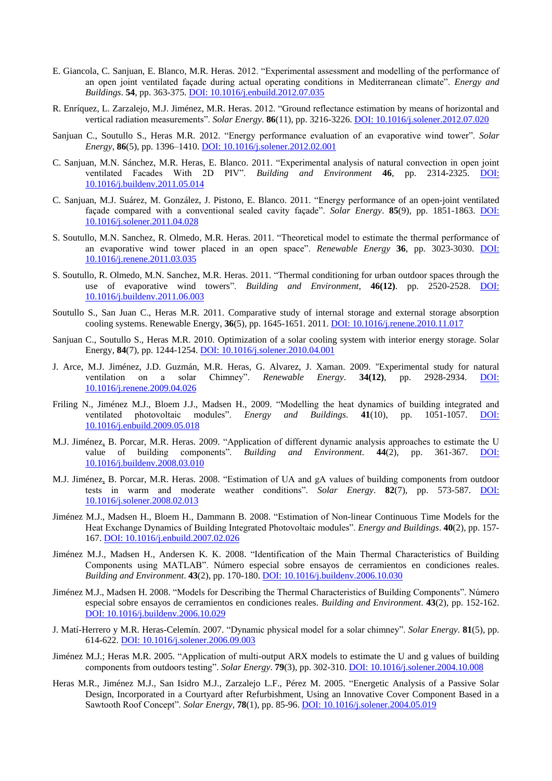- E. Giancola, C. Sanjuan, E. Blanco, M.R. Heras. 2012. "Experimental assessment and modelling of the performance of an open joint ventilated façade during actual operating conditions in Mediterranean climate". *Energy and Buildings*. **54**, pp. 363-375. [DOI: 10.1016/j.enbuild.2012.07.035](http://dx.doi.org/10.1016/j.enbuild.2012.07.035)
- R. Enríquez, L. Zarzalejo, M.J. Jiménez, M.R. Heras. 2012. "Ground reflectance estimation by means of horizontal and vertical radiation measurements". *Solar Energy*. **86**(11), pp. 3216-3226. [DOI: 10.1016/j.solener.2012.07.020](http://dx.doi.org/10.1016/j.solener.2012.07.020)
- Sanjuan C., Soutullo S., Heras M.R. 2012. "Energy performance evaluation of an evaporative wind tower". *Solar Energy*, **86**(5), pp. 1396–1410. [DOI: 10.1016/j.solener.2012.02.001](http://dx.doi.org/10.1016/j.solener.2012.02.001)
- C. Sanjuan, M.N. Sánchez, M.R. Heras, E. Blanco. 2011. "Experimental analysis of natural convection in open joint ventilated Facades With 2D PIV". *Building and Environment* **46**, pp. 2314-2325. [DOI:](http://dx.doi.org/10.1016/j.buildenv.2011.05.014)  [10.1016/j.buildenv.2011.05.014](http://dx.doi.org/10.1016/j.buildenv.2011.05.014)
- C. Sanjuan, M.J. Suárez, M. González, J. Pistono, E. Blanco. 2011. "Energy performance of an open-joint ventilated façade compared with a conventional sealed cavity façade". *Solar Energy*. **85**(9), pp. 1851-1863. [DOI:](http://dx.doi.org/10.1016/j.solener.2011.04.028)  [10.1016/j.solener.2011.04.028](http://dx.doi.org/10.1016/j.solener.2011.04.028)
- S. Soutullo, M.N. Sanchez, R. Olmedo, M.R. Heras. 2011. "Theoretical model to estimate the thermal performance of an evaporative wind tower placed in an open space". *Renewable Energy* **36**, pp. 3023-3030. [DOI:](http://dx.doi.org/10.1016/j.renene.2011.03.035)  [10.1016/j.renene.2011.03.035](http://dx.doi.org/10.1016/j.renene.2011.03.035)
- S. Soutullo, R. Olmedo, M.N. Sanchez, M.R. Heras. 2011. "Thermal conditioning for urban outdoor spaces through the use of evaporative wind towers". *Building and Environment*, **46(12)**. pp. 2520-2528. [DOI:](http://dx.doi.org/10.1016/j.buildenv.2011.06.003)  [10.1016/j.buildenv.2011.06.003](http://dx.doi.org/10.1016/j.buildenv.2011.06.003)
- Soutullo S., San Juan C., Heras M.R. 2011. Comparative study of internal storage and external storage absorption cooling systems. Renewable Energy, **36**(5), pp. 1645-1651. 2011. [DOI: 10.1016/j.renene.2010.11.017](http://dx.doi.org/10.1016/j.renene.2010.11.017)
- Sanjuan C., Soutullo S., Heras M.R. 2010. Optimization of a solar cooling system with interior energy storage. Solar Energy, **84**(7), pp. 1244-1254. [DOI: 10.1016/j.solener.2010.04.001](http://dx.doi.org/10.1016/j.solener.2010.04.001)
- J. Arce, M.J. Jiménez, J.D. Guzmán, M.R. Heras, G. Alvarez, J. Xaman. 2009. "Experimental study for natural ventilation on a solar Chimney". *Renewable Energy*. **34(12)**, pp. 2928-2934. [DOI:](http://dx.doi.org/10.1016/j.renene.2009.04.026)  [10.1016/j.renene.2009.04.026](http://dx.doi.org/10.1016/j.renene.2009.04.026)
- Friling N., Jiménez M.J., Bloem J.J., Madsen H., 2009. "Modelling the heat dynamics of building integrated and ventilated photovoltaic modules". *Energy and Buildings*. **41**(10), pp. 1051-1057. [DOI:](http://dx.doi.org/10.1016/j.enbuild.2009.05.018)  [10.1016/j.enbuild.2009.05.018](http://dx.doi.org/10.1016/j.enbuild.2009.05.018)
- M.J. Jiménez, B. Porcar, M.R. Heras. 2009. "Application of different dynamic analysis approaches to estimate the U value of building components". *Building and Environment*. **44**(2), pp. 361-367. [DOI:](http://dx.doi.org/10.1016/j.buildenv.2008.03.010)  [10.1016/j.buildenv.2008.03.010](http://dx.doi.org/10.1016/j.buildenv.2008.03.010)
- M.J. Jiménez, B. Porcar, M.R. Heras. 2008. "Estimation of UA and gA values of building components from outdoor tests in warm and moderate weather conditions". *Solar Energy*. **82**(7), pp. 573-587. [DOI:](http://dx.doi.org/doi:10.1016/j.solener.2008.02.013)  [10.1016/j.solener.2008.02.013](http://dx.doi.org/doi:10.1016/j.solener.2008.02.013)
- Jiménez M.J., Madsen H., Bloem H., Dammann B. 2008. "Estimation of Non-linear Continuous Time Models for the Heat Exchange Dynamics of Building Integrated Photovoltaic modules". *Energy and Buildings*. **40**(2), pp. 157- 167. [DOI: 10.1016/j.enbuild.2007.02.026](http://dx.doi.org/10.1016/j.enbuild.2007.02.026)
- Jiménez M.J., Madsen H., Andersen K. K. 2008. "Identification of the Main Thermal Characteristics of Building Components using MATLAB". Número especial sobre ensayos de cerramientos en condiciones reales. *Building and Environment*. **43**(2), pp. 170-180. [DOI: 10.1016/j.buildenv.2006.10.030](http://dx.doi.org/10.1016/j.buildenv.2006.10.030)
- Jiménez M.J., Madsen H. 2008. "Models for Describing the Thermal Characteristics of Building Components". Número especial sobre ensayos de cerramientos en condiciones reales. *Building and Environment*. **43**(2), pp. 152-162. [DOI: 10.1016/j.buildenv.2006.10.029](http://dx.doi.org/10.1016/j.buildenv.2006.10.029)
- J. Matí-Herrero y M.R. Heras-Celemín. 2007. "Dynamic physical model for a solar chimney". *Solar Energy*. **81**(5), pp. 614-622. [DOI: 10.1016/j.solener.2006.09.003](http://dx.doi.org/10.1016/j.solener.2006.09.003)
- Jiménez M.J.; Heras M.R. 2005. "Application of multi-output ARX models to estimate the U and g values of building components from outdoors testing". *Solar Energy*. **79**(3), pp. 302-310. [DOI: 10.1016/j.solener.2004.10.008](http://dx.doi.org/10.1016/j.solener.2004.10.008)
- Heras M.R., Jiménez M.J., San Isidro M.J., Zarzalejo L.F., Pérez M. 2005. "Energetic Analysis of a Passive Solar Design, Incorporated in a Courtyard after Refurbishment, Using an Innovative Cover Component Based in a Sawtooth Roof Concept". *Solar Energy*, **78**(1), pp. 85-96. [DOI: 10.1016/j.solener.2004.05.019](http://dx.doi.org/10.1016/j.solener.2004.05.019)